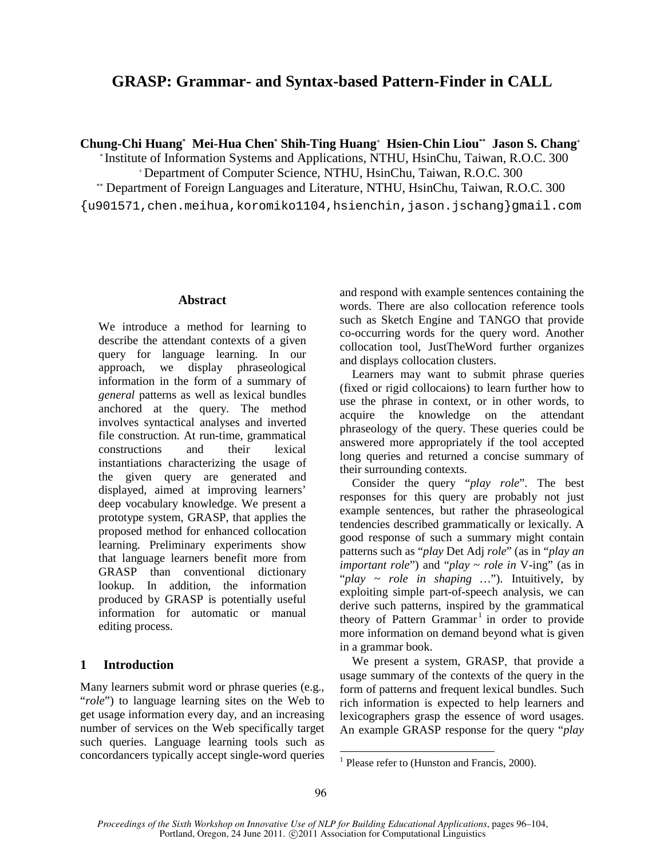# **GRASP: Grammar- and Syntax-based Pattern-Finder in CALL**

**Chung-Chi Huang\* Mei-Hua Chen\* Shih-Ting Huang<sup>+</sup> Hsien-Chin Liou\*\* Jason S. Chang<sup>+</sup>**

\* Institute of Information Systems and Applications, NTHU, HsinChu, Taiwan, R.O.C. 300

<sup>+</sup>Department of Computer Science, NTHU, HsinChu, Taiwan, R.O.C. 300 \*\* Department of Foreign Languages and Literature, NTHU, HsinChu, Taiwan, R.O.C. 300

{u901571,chen.meihua,koromiko1104,hsienchin,jason.jschang}gmail.com

## **Abstract**

We introduce a method for learning to describe the attendant contexts of a given query for language learning. In our approach, we display phraseological information in the form of a summary of *general* patterns as well as lexical bundles anchored at the query. The method involves syntactical analyses and inverted file construction. At run-time, grammatical constructions and their lexical instantiations characterizing the usage of the given query are generated and displayed, aimed at improving learners' deep vocabulary knowledge. We present a prototype system, GRASP, that applies the proposed method for enhanced collocation learning. Preliminary experiments show that language learners benefit more from GRASP than conventional dictionary lookup. In addition, the information produced by GRASP is potentially useful information for automatic or manual editing process.

## **1 Introduction**

Many learners submit word or phrase queries (e.g., "*role*") to language learning sites on the Web to get usage information every day, and an increasing number of services on the Web specifically target such queries. Language learning tools such as concordancers typically accept single-word queries and respond with example sentences containing the words. There are also collocation reference tools such as Sketch Engine and TANGO that provide co-occurring words for the query word. Another collocation tool, JustTheWord further organizes and displays collocation clusters.

Learners may want to submit phrase queries (fixed or rigid collocaions) to learn further how to use the phrase in context, or in other words, to acquire the knowledge on the attendant phraseology of the query. These queries could be answered more appropriately if the tool accepted long queries and returned a concise summary of their surrounding contexts.

Consider the query "*play role*". The best responses for this query are probably not just example sentences, but rather the phraseological tendencies described grammatically or lexically. A good response of such a summary might contain patterns such as "*play* Det Adj *role*" (as in "*play an important role*") and "*play* ~ *role in* V-ing" (as in "*play ~ role in shaping …*"). Intuitively, by exploiting simple part-of-speech analysis, we can derive such patterns, inspired by the grammatical theory of Pattern Grammar<sup>1</sup> in order to provide more information on demand beyond what is given in a grammar book.

We present a system, GRASP, that provide a usage summary of the contexts of the query in the form of patterns and frequent lexical bundles. Such rich information is expected to help learners and lexicographers grasp the essence of word usages. An example GRASP response for the query "*play* 

-

<sup>&</sup>lt;sup>1</sup> Please refer to (Hunston and Francis, 2000).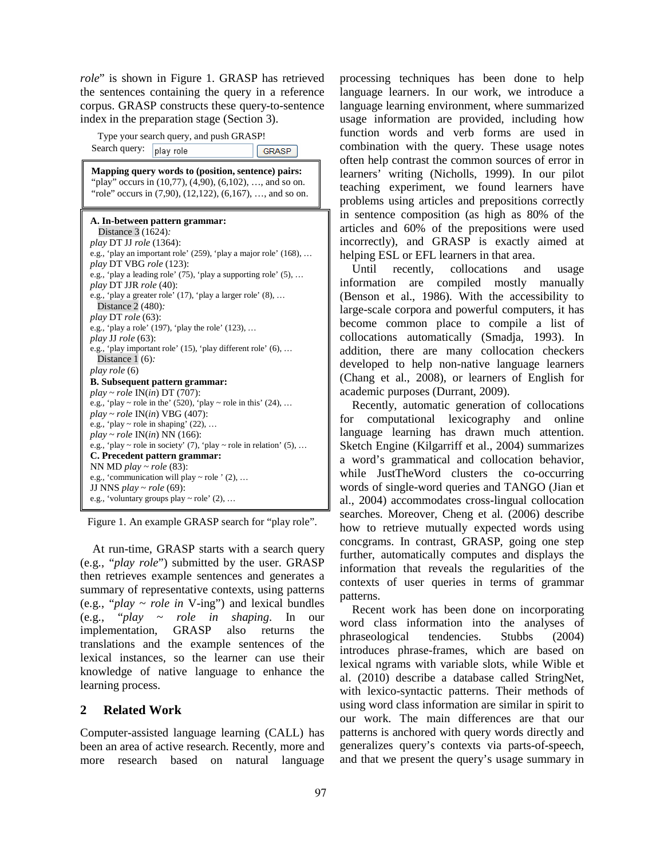*role*" is shown in Figure 1. GRASP has retrieved the sentences containing the query in a reference corpus. GRASP constructs these query-to-sentence index in the preparation stage (Section 3).

Type your search query, and push GRASP!

Search query: play role GRASP **Mapping query words to (position, sentence) pairs:**  "play" occurs in  $(10,77)$ ,  $(4,90)$ ,  $(6,102)$ , ..., and so on. "role" occurs in (7,90), (12,122), (6,167), ..., and so on. **A. In-between pattern grammar:** Distance 3 (1624)*: play* DT JJ *role* (1364): e.g., 'play an important role' (259), 'play a major role' (168), … *play* DT VBG *role* (123): e.g., 'play a leading role' (75), 'play a supporting role' (5), … *play* DT JJR *role* (40): e.g., 'play a greater role' (17), 'play a larger role' (8), … Distance 2 (480)*: play* DT *role* (63): e.g., 'play a role' (197), 'play the role' (123), … *play* JJ *role* (63): e.g., 'play important role' (15), 'play different role' (6), … Distance 1 (6)*: play role* (6) **B. Subsequent pattern grammar:** *play* ~ *role* IN(*in*) DT (707): e.g., 'play ~ role in the' (520), 'play ~ role in this' (24), ... *play* ~ *role* IN(*in*) VBG (407): e.g., 'play  $\sim$  role in shaping' (22), ... *play* ~ *role* IN(*in*) NN (166): e.g., 'play ~ role in society' (7), 'play ~ role in relation' (5), ... **C. Precedent pattern grammar:** NN MD *play* ~ *role* (83): e.g., 'communication will play  $\sim$  role ' (2), ... JJ NNS *play* ~ *role* (69): e.g., 'voluntary groups play  $\sim$  role' (2), ...

Figure 1. An example GRASP search for "play role".

At run-time, GRASP starts with a search query (e.g., "*play role*") submitted by the user. GRASP then retrieves example sentences and generates a summary of representative contexts, using patterns (e.g., "*play* ~ *role in* V-ing") and lexical bundles (e.g., "*play ~ role in shaping*. In our implementation, GRASP also returns the translations and the example sentences of the lexical instances, so the learner can use their knowledge of native language to enhance the learning process.

## **2 Related Work**

Computer-assisted language learning (CALL) has been an area of active research. Recently, more and more research based on natural language

processing techniques has been done to help language learners. In our work, we introduce a language learning environment, where summarized usage information are provided, including how function words and verb forms are used in combination with the query. These usage notes often help contrast the common sources of error in learners' writing (Nicholls, 1999). In our pilot teaching experiment, we found learners have problems using articles and prepositions correctly in sentence composition (as high as 80% of the articles and 60% of the prepositions were used incorrectly), and GRASP is exactly aimed at helping ESL or EFL learners in that area.

Until recently, collocations and usage information are compiled mostly manually (Benson et al., 1986). With the accessibility to large-scale corpora and powerful computers, it has become common place to compile a list of collocations automatically (Smadja, 1993). In addition, there are many collocation checkers developed to help non-native language learners (Chang et al., 2008), or learners of English for academic purposes (Durrant, 2009).

Recently, automatic generation of collocations for computational lexicography and online language learning has drawn much attention. Sketch Engine (Kilgarriff et al., 2004) summarizes a word's grammatical and collocation behavior, while JustTheWord clusters the co-occurring words of single-word queries and TANGO (Jian et al., 2004) accommodates cross-lingual collocation searches. Moreover, Cheng et al. (2006) describe how to retrieve mutually expected words using concgrams. In contrast, GRASP, going one step further, automatically computes and displays the information that reveals the regularities of the contexts of user queries in terms of grammar patterns.

Recent work has been done on incorporating word class information into the analyses of phraseological tendencies. Stubbs (2004) introduces phrase-frames, which are based on lexical ngrams with variable slots, while Wible et al. (2010) describe a database called StringNet, with lexico-syntactic patterns. Their methods of using word class information are similar in spirit to our work. The main differences are that our patterns is anchored with query words directly and generalizes query's contexts via parts-of-speech, and that we present the query's usage summary in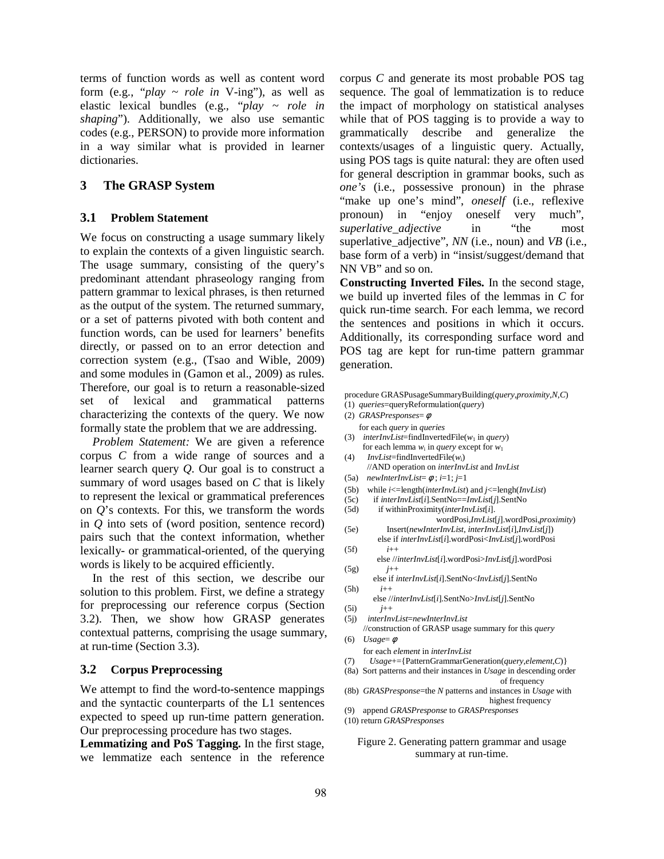terms of function words as well as content word form (e.g., "*play* ~ *role in* V-ing"), as well as elastic lexical bundles (e.g., "*play ~ role in shaping*"). Additionally, we also use semantic codes (e.g., PERSON) to provide more information in a way similar what is provided in learner dictionaries.

## **3 The GRASP System**

#### **3.1 Problem Statement**

We focus on constructing a usage summary likely to explain the contexts of a given linguistic search. The usage summary, consisting of the query's predominant attendant phraseology ranging from pattern grammar to lexical phrases, is then returned as the output of the system. The returned summary, or a set of patterns pivoted with both content and function words, can be used for learners' benefits directly, or passed on to an error detection and correction system (e.g., (Tsao and Wible, 2009) and some modules in (Gamon et al., 2009) as rules. Therefore, our goal is to return a reasonable-sized set of lexical and grammatical patterns characterizing the contexts of the query. We now formally state the problem that we are addressing.

*Problem Statement:* We are given a reference corpus *C* from a wide range of sources and a learner search query *Q*. Our goal is to construct a summary of word usages based on *C* that is likely to represent the lexical or grammatical preferences on *Q*'s contexts. For this, we transform the words in *Q* into sets of (word position, sentence record) pairs such that the context information, whether lexically- or grammatical-oriented, of the querying words is likely to be acquired efficiently.

In the rest of this section, we describe our solution to this problem. First, we define a strategy for preprocessing our reference corpus (Section 3.2). Then, we show how GRASP generates contextual patterns, comprising the usage summary, at run-time (Section 3.3).

#### **3.2 Corpus Preprocessing**

We attempt to find the word-to-sentence mappings and the syntactic counterparts of the L1 sentences expected to speed up run-time pattern generation. Our preprocessing procedure has two stages.

**Lemmatizing and PoS Tagging.** In the first stage, we lemmatize each sentence in the reference corpus *C* and generate its most probable POS tag sequence. The goal of lemmatization is to reduce the impact of morphology on statistical analyses while that of POS tagging is to provide a way to grammatically describe and generalize the contexts/usages of a linguistic query. Actually, using POS tags is quite natural: they are often used for general description in grammar books, such as *one's* (i.e., possessive pronoun) in the phrase "make up one's mind", *oneself* (i.e., reflexive pronoun) in "enjoy oneself very much", *superlative adjective* in "the most" superlative\_adjective", *NN* (i.e., noun) and *VB* (i.e., base form of a verb) in "insist/suggest/demand that NN VB" and so on.

**Constructing Inverted Files.** In the second stage, we build up inverted files of the lemmas in *C* for quick run-time search. For each lemma, we record the sentences and positions in which it occurs. Additionally, its corresponding surface word and POS tag are kept for run-time pattern grammar generation.

- procedure GRASPusageSummaryBuilding(*query*,*proximity*,*N*,*C*)
- (1) *queries*=queryReformulation(*query*)
- (2) *GRASPresponses*= φ
- for each *query* in *queries* (3) *interInvList*=findInvertedFile( $w_1$  in *query*) for each lemma  $w_i$  in *query* except for  $w_1$
- (4) *InvList*=findInvertedFile(*w*i) //AND operation on *interInvList* and *InvList*
- (5a) *newInterInvList*= φ ; *i*=1; *j*=1
- (5b) while *i*<=length(*interInvList*) and *j*<=lengh(*InvList*)
- (5c) if *interInvList*[*i*].SentNo==*InvList*[*j*].SentNo
- (5d) if withinProximity(*interInvList*[*i*].
- wordPosi,*InvList*[*j*].wordPosi,*proximity*) (5e) Insert(*newInterInvList*, *interInvList*[*i*],*InvList*[*j*])
- else if *interInvList*[*i*].wordPosi<*InvList*[*j*].wordPosi (5f) *i*++
- else //*interInvList*[*i*].wordPosi>*InvList*[*j*].wordPosi (5g) *j*++
- else if *interInvList*[*i*].SentNo<*InvList*[*j*].SentNo (5h) *i*++
- else //*interInvList*[*i*].SentNo>*InvList*[*j*].SentNo (5i) *j*++
- (5j) *interInvList*=*newInterInvList*

//construction of GRASP usage summary for this *query* (6) *Usage*= φ

- for each *element* in *interInvList*
- (7) *Usage*+={PatternGrammarGeneration(*query*,*element*,*C*)}
- (8a) Sort patterns and their instances in *Usage* in descending order
- of frequency (8b) *GRASPresponse*=the *N* patterns and instances in *Usage* with
- highest frequency
- (9) append *GRASPresponse* to *GRASPresponses*
- (10) return *GRASPresponses*

#### Figure 2. Generating pattern grammar and usage summary at run-time.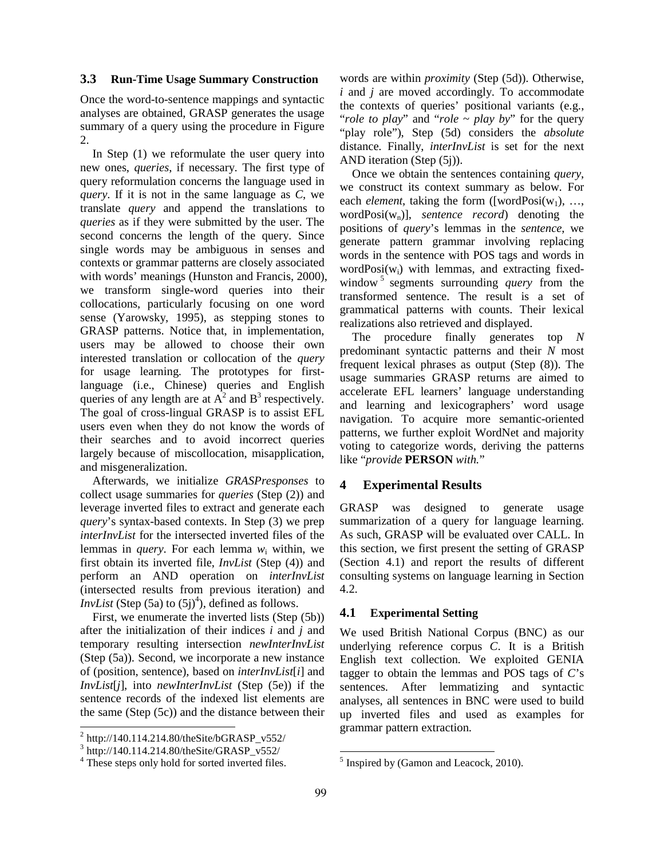#### **3.3 Run-Time Usage Summary Construction**

Once the word-to-sentence mappings and syntactic analyses are obtained, GRASP generates the usage summary of a query using the procedure in Figure 2.

In Step (1) we reformulate the user query into new ones, *queries*, if necessary. The first type of query reformulation concerns the language used in *query*. If it is not in the same language as *C*, we translate *query* and append the translations to *queries* as if they were submitted by the user. The second concerns the length of the query. Since single words may be ambiguous in senses and contexts or grammar patterns are closely associated with words' meanings (Hunston and Francis, 2000), we transform single-word queries into their collocations, particularly focusing on one word sense (Yarowsky, 1995), as stepping stones to GRASP patterns. Notice that, in implementation, users may be allowed to choose their own interested translation or collocation of the *query* for usage learning. The prototypes for firstlanguage (i.e., Chinese) queries and English queries of any length are at  $A^2$  and  $B^3$  respectively. The goal of cross-lingual GRASP is to assist EFL users even when they do not know the words of their searches and to avoid incorrect queries largely because of miscollocation, misapplication, and misgeneralization.

Afterwards, we initialize *GRASPresponses* to collect usage summaries for *queries* (Step (2)) and leverage inverted files to extract and generate each *query*'s syntax-based contexts. In Step (3) we prep *interInvList* for the intersected inverted files of the lemmas in *query*. For each lemma  $w_i$  within, we first obtain its inverted file, *InvList* (Step (4)) and perform an AND operation on *interInvList* (intersected results from previous iteration) and *InvList* (Step  $(5a)$  to  $(5j)^4$ ), defined as follows.

First, we enumerate the inverted lists (Step (5b)) after the initialization of their indices *i* and *j* and temporary resulting intersection *newInterInvList* (Step (5a)). Second, we incorporate a new instance of (position, sentence), based on *interInvList*[*i*] and *InvList*[*j*], into *newInterInvList* (Step (5e)) if the sentence records of the indexed list elements are the same (Step (5c)) and the distance between their words are within *proximity* (Step (5d)). Otherwise, *i* and *j* are moved accordingly. To accommodate the contexts of queries' positional variants (e.g., "*role to play*" and "*role* ~ *play by*" for the query "play role"), Step (5d) considers the *absolute* distance. Finally, *interInvList* is set for the next AND iteration (Step (5j)).

Once we obtain the sentences containing *query*, we construct its context summary as below. For each *element*, taking the form ([wordPosi $(w_1)$ , ..., wordPosi $(w_n)$ ], *sentence record*) denoting the positions of *query*'s lemmas in the *sentence*, we generate pattern grammar involving replacing words in the sentence with POS tags and words in word $Posi(w_i)$  with lemmas, and extracting fixedwindow<sup>5</sup> segments surrounding *query* from the transformed sentence. The result is a set of grammatical patterns with counts. Their lexical realizations also retrieved and displayed.

The procedure finally generates top *N* predominant syntactic patterns and their *N* most frequent lexical phrases as output (Step (8)). The usage summaries GRASP returns are aimed to accelerate EFL learners' language understanding and learning and lexicographers' word usage navigation. To acquire more semantic-oriented patterns, we further exploit WordNet and majority voting to categorize words, deriving the patterns like "*provide* **PERSON** *with.*"

### **4 Experimental Results**

GRASP was designed to generate usage summarization of a query for language learning. As such, GRASP will be evaluated over CALL. In this section, we first present the setting of GRASP (Section 4.1) and report the results of different consulting systems on language learning in Section 4.2.

#### **4.1 Experimental Setting**

We used British National Corpus (BNC) as our underlying reference corpus *C*. It is a British English text collection. We exploited GENIA tagger to obtain the lemmas and POS tags of *C*'s sentences. After lemmatizing and syntactic analyses, all sentences in BNC were used to build up inverted files and used as examples for grammar pattern extraction.

-

 2 http://140.114.214.80/theSite/bGRASP\_v552/

<sup>3</sup> http://140.114.214.80/theSite/GRASP\_v552/

<sup>&</sup>lt;sup>4</sup> These steps only hold for sorted inverted files.

<sup>&</sup>lt;sup>5</sup> Inspired by (Gamon and Leacock, 2010).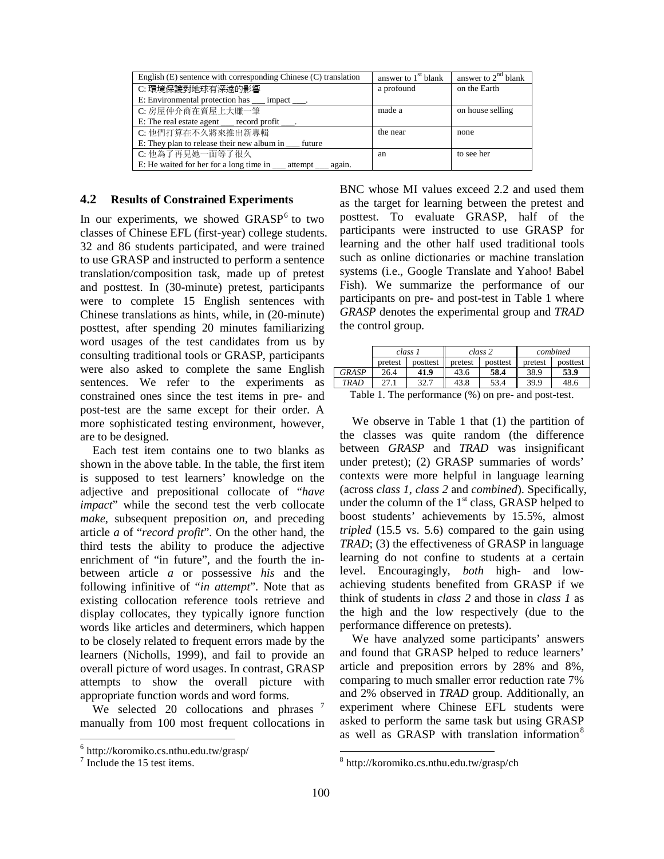| English $(E)$ sentence with corresponding Chinese $(C)$ translation   | answer to 1 <sup>st</sup> blank | answer to $2^{nd}$ blank |
|-----------------------------------------------------------------------|---------------------------------|--------------------------|
| C: 環境保護對地球有深遠的影響                                                      | a profound                      | on the Earth             |
| E: Environmental protection has __ impact ___.                        |                                 |                          |
| C: 房屋仲介商在賣屋上大賺一筆                                                      | made a                          | on house selling         |
| E: The real estate agent <u>exercise</u> record profit <u>equal</u> . |                                 |                          |
| C: 他們打算在不久將來推出新專輯                                                     | the near                        | none                     |
| E: They plan to release their new album in _____ future               |                                 |                          |
| C: 他為了再見她一面等了很久                                                       | an                              | to see her               |
| E: He waited for her for a long time in _____ attempt<br>again.       |                                 |                          |

### **4.2 Results of Constrained Experiments**

In our experiments, we showed GRASP<sup>6</sup> to two classes of Chinese EFL (first-year) college students. 32 and 86 students participated, and were trained to use GRASP and instructed to perform a sentence translation/composition task, made up of pretest and posttest. In (30-minute) pretest, participants were to complete 15 English sentences with Chinese translations as hints, while, in (20-minute) posttest, after spending 20 minutes familiarizing word usages of the test candidates from us by consulting traditional tools or GRASP, participants were also asked to complete the same English sentences. We refer to the experiments as constrained ones since the test items in pre- and post-test are the same except for their order. A more sophisticated testing environment, however, are to be designed.

Each test item contains one to two blanks as shown in the above table. In the table, the first item is supposed to test learners' knowledge on the adjective and prepositional collocate of "*have impact*" while the second test the verb collocate *make*, subsequent preposition *on*, and preceding article *a* of "*record profit*". On the other hand, the third tests the ability to produce the adjective enrichment of "in future", and the fourth the inbetween article *a* or possessive *his* and the following infinitive of "*in attempt*". Note that as existing collocation reference tools retrieve and display collocates, they typically ignore function words like articles and determiners, which happen to be closely related to frequent errors made by the learners (Nicholls, 1999), and fail to provide an overall picture of word usages. In contrast, GRASP attempts to show the overall picture with appropriate function words and word forms.

We selected 20 collocations and phrases  $^7$ manually from 100 most frequent collocations in BNC whose MI values exceed 2.2 and used them as the target for learning between the pretest and posttest. To evaluate GRASP, half of the participants were instructed to use GRASP for learning and the other half used traditional tools such as online dictionaries or machine translation systems (i.e., Google Translate and Yahoo! Babel Fish). We summarize the performance of our participants on pre- and post-test in Table 1 where *GRASP* denotes the experimental group and *TRAD* the control group.

|              |         | class 1  |               | class 2  |         | combined                                                                        |
|--------------|---------|----------|---------------|----------|---------|---------------------------------------------------------------------------------|
|              | pretest | posttest | pretest       | posttest | pretest | posttest                                                                        |
| <b>GRASP</b> | 26.4    | 41.9     | 43.6          | 58.4     | 38.9    | 53.9                                                                            |
| TRAD         | 27.1    | 32.7     | 43.8          | 53.4     | 39.9    | 48.6                                                                            |
| ---          | $\sim$  | $\sim$   | $\sim$ $\sim$ |          |         | the contract of the contract of the contract of the contract of the contract of |

Table 1. The performance (%) on pre- and post-test.

We observe in Table 1 that (1) the partition of the classes was quite random (the difference between *GRASP* and *TRAD* was insignificant under pretest); (2) GRASP summaries of words' contexts were more helpful in language learning (across *class 1*, *class 2* and *combined*). Specifically, under the column of the  $1<sup>st</sup>$  class, GRASP helped to boost students' achievements by 15.5%, almost *tripled* (15.5 vs. 5.6) compared to the gain using *TRAD*; (3) the effectiveness of GRASP in language learning do not confine to students at a certain level. Encouragingly, *both* high- and lowachieving students benefited from GRASP if we think of students in *class 2* and those in *class 1* as the high and the low respectively (due to the performance difference on pretests).

We have analyzed some participants' answers and found that GRASP helped to reduce learners' article and preposition errors by 28% and 8%, comparing to much smaller error reduction rate 7% and 2% observed in *TRAD* group. Additionally, an experiment where Chinese EFL students were asked to perform the same task but using GRASP as well as GRASP with translation information<sup>8</sup>

-

 6 http://koromiko.cs.nthu.edu.tw/grasp/

<sup>&</sup>lt;sup>7</sup> Include the 15 test items.

<sup>8</sup> http://koromiko.cs.nthu.edu.tw/grasp/ch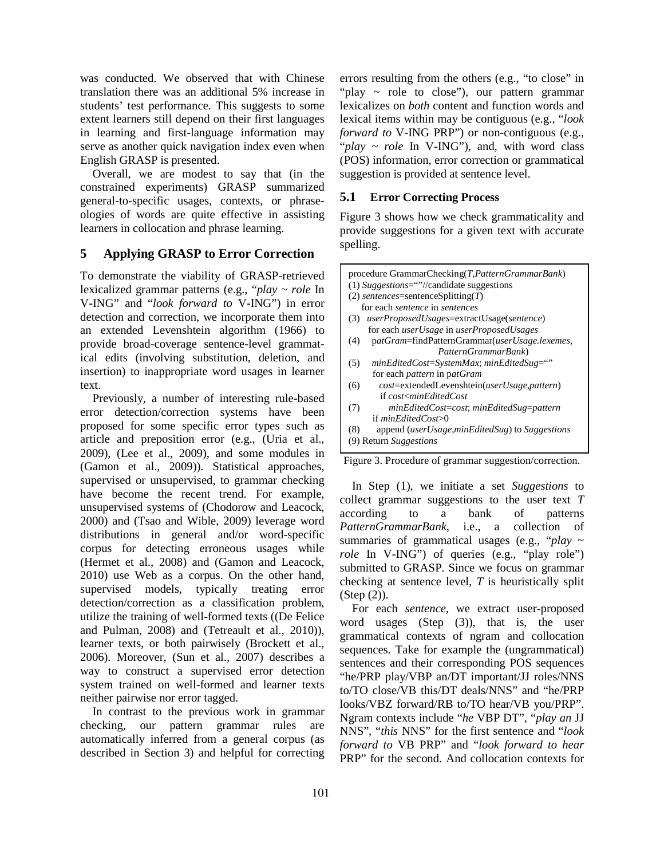was conducted. We observed that with Chinese translation there was an additional 5% increase in students' test performance. This suggests to some extent learners still depend on their first languages in learning and first-language information may serve as another quick navigation index even when English GRASP is presented.

Overall, we are modest to say that (in the constrained experiments) GRASP summarized general-to-specific usages, contexts, or phraseologies of words are quite effective in assisting learners in collocation and phrase learning.

## **5 Applying GRASP to Error Correction**

To demonstrate the viability of GRASP-retrieved lexicalized grammar patterns (e.g., "*play* ~ *role* In V-ING" and "*look forward to* V-ING") in error detection and correction, we incorporate them into an extended Levenshtein algorithm (1966) to provide broad-coverage sentence-level grammatical edits (involving substitution, deletion, and insertion) to inappropriate word usages in learner text.

Previously, a number of interesting rule-based error detection/correction systems have been proposed for some specific error types such as article and preposition error (e.g., (Uria et al., 2009), (Lee et al., 2009), and some modules in (Gamon et al., 2009)). Statistical approaches, supervised or unsupervised, to grammar checking have become the recent trend. For example, unsupervised systems of (Chodorow and Leacock, 2000) and (Tsao and Wible, 2009) leverage word distributions in general and/or word-specific corpus for detecting erroneous usages while (Hermet et al., 2008) and (Gamon and Leacock, 2010) use Web as a corpus. On the other hand, supervised models, typically treating error detection/correction as a classification problem, utilize the training of well-formed texts ((De Felice and Pulman, 2008) and (Tetreault et al., 2010)), learner texts, or both pairwisely (Brockett et al., 2006). Moreover, (Sun et al., 2007) describes a way to construct a supervised error detection system trained on well-formed and learner texts neither pairwise nor error tagged.

In contrast to the previous work in grammar checking, our pattern grammar rules are automatically inferred from a general corpus (as described in Section 3) and helpful for correcting errors resulting from the others (e.g., "to close" in "play ~ role to close"), our pattern grammar lexicalizes on *both* content and function words and lexical items within may be contiguous (e.g., "*look forward to* V-ING PRP") or non-contiguous (e.g., "*play* ~ *role* In V-ING"), and, with word class (POS) information, error correction or grammatical suggestion is provided at sentence level.

## **5.1 Error Correcting Process**

Figure 3 shows how we check grammaticality and provide suggestions for a given text with accurate spelling.

| procedure GrammarChecking(T, PatternGrammarBank)                      |
|-----------------------------------------------------------------------|
| (1) Suggestions=""//candidate suggestions                             |
| $(2)$ sentences=sentenceSplitting(T)                                  |
| for each sentence in sentences                                        |
| userProposedUsages=extractUsage(sentence)<br>(3)                      |
| for each <i>userUsage</i> in <i>userProposedUsages</i>                |
| patGram=findPatternGrammar(userUsage.lexemes,<br>(4)                  |
| PatternGrammarBank)                                                   |
| minEditedCost=SystemMax; minEditedSug=""<br>(5)                       |
| for each <i>pattern</i> in patGram                                    |
| cost=extendedLevenshtein(userUsage,pattern)<br>(6)                    |
| if cost <mineditedcost< td=""></mineditedcost<>                       |
| (7)<br>minEditedCost=cost; minEditedSug=pattern                       |
| if minEditedCost>0                                                    |
| append ( <i>userUsage,minEditedSug</i> ) to <i>Suggestions</i><br>(8) |
| <b>Return Suggestions</b>                                             |

Figure 3. Procedure of grammar suggestion/correction.

In Step (1), we initiate a set *Suggestions* to collect grammar suggestions to the user text *T* according to a bank of patterns *PatternGrammarBank*, i.e., a collection of summaries of grammatical usages (e.g., "*play* ~ *role* In V-ING") of queries (e.g., "play role") submitted to GRASP. Since we focus on grammar checking at sentence level, *T* is heuristically split (Step (2)).

For each *sentence*, we extract user-proposed word usages (Step (3)), that is, the user grammatical contexts of ngram and collocation sequences. Take for example the (ungrammatical) sentences and their corresponding POS sequences "he/PRP play/VBP an/DT important/JJ roles/NNS to/TO close/VB this/DT deals/NNS" and "he/PRP looks/VBZ forward/RB to/TO hear/VB you/PRP". Ngram contexts include "*he* VBP DT", "*play an* JJ NNS", "*this* NNS" for the first sentence and "*look forward to* VB PRP" and "*look forward to hear* PRP" for the second. And collocation contexts for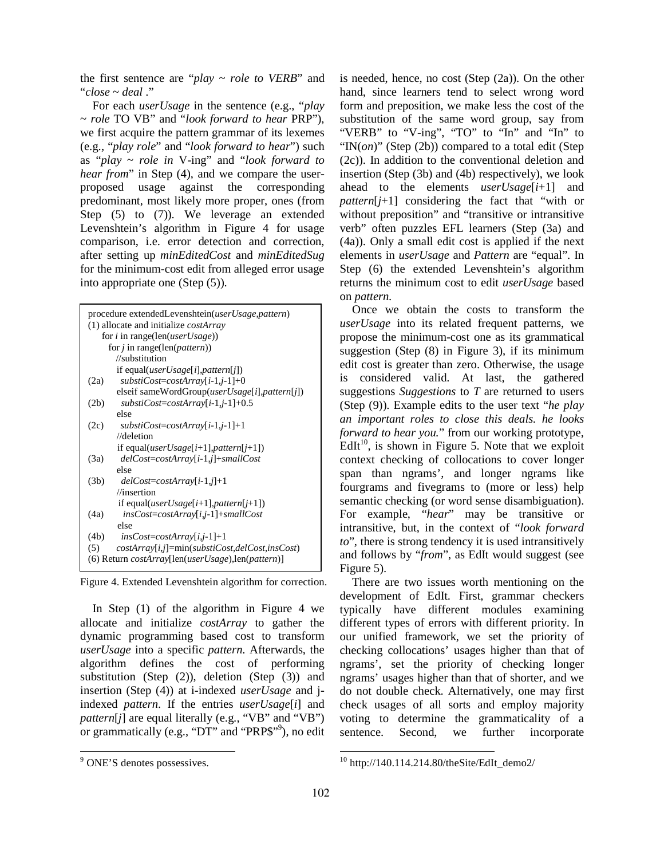the first sentence are "*play* ~ *role to VERB*" and "*close* ~ *deal* ."

For each *userUsage* in the sentence (e.g., "*play* ~ *role* TO VB" and "*look forward to hear* PRP"), we first acquire the pattern grammar of its lexemes (e.g., "*play role*" and "*look forward to hear*") such as "*play* ~ *role in* V-ing" and "*look forward to hear from*" in Step (4), and we compare the userproposed usage against the corresponding predominant, most likely more proper, ones (from Step (5) to (7)). We leverage an extended Levenshtein's algorithm in Figure 4 for usage comparison, i.e. error detection and correction, after setting up *minEditedCost* and *minEditedSug* for the minimum-cost edit from alleged error usage into appropriate one (Step (5)).

| procedure extendedLevenshtein(userUsage,pattern)                      |  |
|-----------------------------------------------------------------------|--|
| $(1)$ allocate and initialize <i>costArray</i>                        |  |
| for i in range(len(userUsage))                                        |  |
| for $j$ in range(len( <i>pattern</i> ))                               |  |
| //substitution                                                        |  |
| if equal( <i>userUsage</i> [ <i>i</i> ], <i>pattern</i> [ <i>j</i> ]) |  |
| $substiCost = costArray[i-1,j-1]+0$<br>(2a)                           |  |
| elseif sameWordGroup(userUsage[i],pattern[j])                         |  |
| $substiCost = costArray[i-1,j-1]+0.5$<br>(2b)                         |  |
| else                                                                  |  |
| (2c)<br>$substiCost = costArray[i-1,j-1]+1$                           |  |
| $//$ deletion                                                         |  |
| if equal( <i>userUsage</i> [i+1], <i>pattern</i> [j+1])               |  |
| $delCost = costArray[i-1,j] + smallCost$<br>(3a)                      |  |
| else                                                                  |  |
| (3b)<br>$delCost = costArray[i-1,j]+1$                                |  |
| $\frac{1}{\pi}$                                                       |  |
| if equal( <i>userUsage</i> [i+1], <i>pattern</i> [j+1])               |  |
| $insCost = costArray[i,j-1] + smallCost$<br>(4a)                      |  |
| else                                                                  |  |
| $insCost = costArray[i, j-1]+1$<br>(4b)                               |  |
| $costArray[i,j] = min(substiCost, delCost, insCost)$<br>(5)           |  |
| (6) Return costArray[len(userUsage),len(pattern)]                     |  |
|                                                                       |  |

Figure 4. Extended Levenshtein algorithm for correction.

In Step (1) of the algorithm in Figure 4 we allocate and initialize *costArray* to gather the dynamic programming based cost to transform *userUsage* into a specific *pattern*. Afterwards, the algorithm defines the cost of performing substitution (Step (2)), deletion (Step (3)) and insertion (Step (4)) at i-indexed *userUsage* and jindexed *pattern*. If the entries *userUsage*[*i*] and *pattern*[*j*] are equal literally (e.g., "VB" and "VB") or grammatically (e.g., "DT" and "PRP\$"<sup>9</sup>), no edit is needed, hence, no cost (Step  $(2a)$ ). On the other hand, since learners tend to select wrong word form and preposition, we make less the cost of the substitution of the same word group, say from "VERB" to "V-ing", "TO" to "In" and "In" to "IN(*on*)" (Step (2b)) compared to a total edit (Step (2c)). In addition to the conventional deletion and insertion (Step (3b) and (4b) respectively), we look ahead to the elements *userUsage*[*i*+1] and *pattern*[*j*+1] considering the fact that "with or without preposition" and "transitive or intransitive verb" often puzzles EFL learners (Step (3a) and (4a)). Only a small edit cost is applied if the next elements in *userUsage* and *Pattern* are "equal". In Step (6) the extended Levenshtein's algorithm returns the minimum cost to edit *userUsage* based on *pattern*.

Once we obtain the costs to transform the *userUsage* into its related frequent patterns, we propose the minimum-cost one as its grammatical suggestion (Step (8) in Figure 3), if its minimum edit cost is greater than zero. Otherwise, the usage is considered valid. At last, the gathered suggestions *Suggestions* to *T* are returned to users (Step (9)). Example edits to the user text "*he play an important roles to close this deals. he looks forward to hear you.*" from our working prototype,  $EdI<sup>10</sup>$ , is shown in Figure 5. Note that we exploit context checking of collocations to cover longer span than ngrams', and longer ngrams like fourgrams and fivegrams to (more or less) help semantic checking (or word sense disambiguation). For example, "*hear*" may be transitive or intransitive, but, in the context of "*look forward to*", there is strong tendency it is used intransitively and follows by "*from*", as EdIt would suggest (see Figure 5).

There are two issues worth mentioning on the development of EdIt. First, grammar checkers typically have different modules examining different types of errors with different priority. In our unified framework, we set the priority of checking collocations' usages higher than that of ngrams', set the priority of checking longer ngrams' usages higher than that of shorter, and we do not double check. Alternatively, one may first check usages of all sorts and employ majority voting to determine the grammaticality of a sentence. Second, we further incorporate

<sup>&</sup>lt;sup>9</sup> ONE'S denotes possessives.

<sup>-</sup> $10$  http://140.114.214.80/theSite/EdIt\_demo2/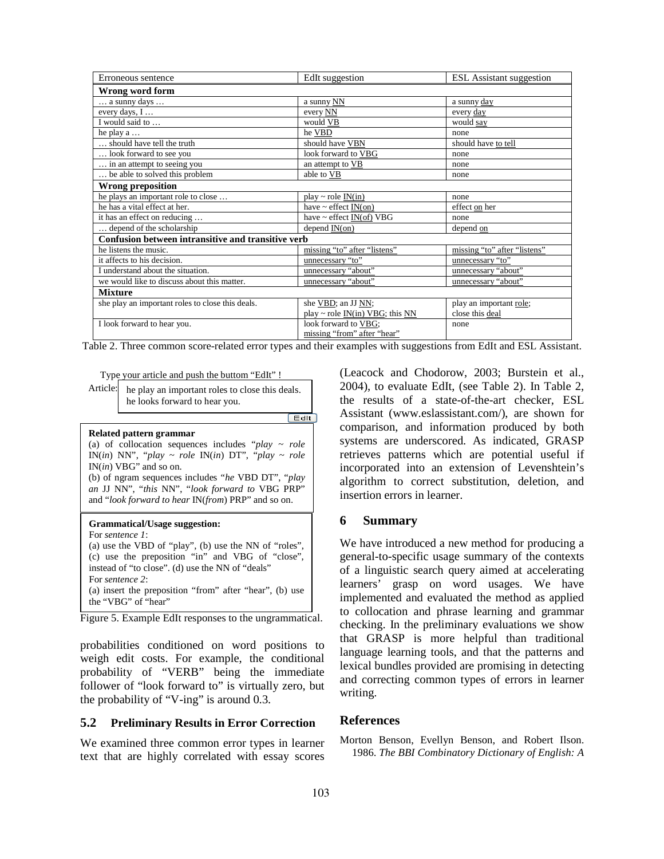| Erroneous sentence                                 | EdIt suggestion                                  | <b>ESL</b> Assistant suggestion |
|----------------------------------------------------|--------------------------------------------------|---------------------------------|
| Wrong word form                                    |                                                  |                                 |
| $\ldots$ a sunny days $\ldots$                     | a sunny NN                                       | a sunny day                     |
| every days, I                                      | every NN                                         | every day                       |
| I would said to                                    | would VB                                         | would say                       |
| he play $a \ldots$                                 | he VBD                                           | none                            |
| should have tell the truth                         | should have VBN                                  | should have to tell             |
| look forward to see you                            | look forward to VBG                              | none                            |
| in an attempt to seeing you                        | an attempt to VB                                 | none                            |
| be able to solved this problem                     | able to VB                                       | none                            |
| <b>Wrong preposition</b>                           |                                                  |                                 |
| he plays an important role to close                | $play \sim role \ IN(in)$                        | none                            |
| he has a vital effect at her.                      | have ~ effect $\underline{\text{IN}}(\text{on})$ | effect on her                   |
| it has an effect on reducing                       | have $\sim$ effect IN(of) VBG                    | none                            |
| depend of the scholarship                          | depend $IN($ on $)$                              | depend on                       |
| Confusion between intransitive and transitive verb |                                                  |                                 |
| he listens the music.                              | missing "to" after "listens"                     | missing "to" after "listens"    |
| it affects to his decision.                        | unnecessary "to"                                 | unnecessary "to"                |
| I understand about the situation.                  | unnecessary "about"                              | unnecessary "about"             |
| we would like to discuss about this matter.        | unnecessary "about"                              | unnecessary "about"             |
| <b>Mixture</b>                                     |                                                  |                                 |
| she play an important roles to close this deals.   | she VBD; an JJ NN;                               | play an important role;         |
|                                                    | play ~ role $IN(in) VBG$ ; this $NN$             | close this deal                 |
| I look forward to hear you.                        | look forward to VBG;                             | none                            |
|                                                    | missing "from" after "hear"                      |                                 |

Table 2. Three common score-related error types and their examples with suggestions from EdIt and ESL Assistant.

Type your article and push the buttom "EdIt" !

Article: he play an important roles to close this deals. he looks forward to hear you.  $[$  Edlt

#### **Related pattern grammar**

| (a) of collocation sequences includes " $play \sim role$<br>IN(in) NN", "play $\sim$ role IN(in) DT", "play $\sim$ role<br>$IN(in) VBG"$ and so on.<br>(b) of ngram sequences includes "he VBD DT", "play"<br>an JJ NN", "this NN", "look forward to VBG PRP"<br>and "look forward to hear IN(from) PRP" and so on. |
|---------------------------------------------------------------------------------------------------------------------------------------------------------------------------------------------------------------------------------------------------------------------------------------------------------------------|
| Grammatical/Usage suggestion:<br>For sentence 1:<br>(a) use the VBD of "play", (b) use the NN of "roles",<br>(c) use the preposition "in" and VBG of "close",<br>instead of "to close". (d) use the NN of "deals"<br>For <i>sentence</i> 2:                                                                         |

(a) insert the preposition "from" after "hear", (b) use the "VBG" of "hear"

Figure 5. Example EdIt responses to the ungrammatical.

probabilities conditioned on word positions to weigh edit costs. For example, the conditional probability of "VERB" being the immediate follower of "look forward to" is virtually zero, but the probability of "V-ing" is around 0.3.

### **5.2 Preliminary Results in Error Correction**

We examined three common error types in learner text that are highly correlated with essay scores (Leacock and Chodorow, 2003; Burstein et al., 2004), to evaluate EdIt, (see Table 2). In Table 2, the results of a state-of-the-art checker, ESL Assistant (www.eslassistant.com/), are shown for comparison, and information produced by both systems are underscored. As indicated, GRASP retrieves patterns which are potential useful if incorporated into an extension of Levenshtein's algorithm to correct substitution, deletion, and insertion errors in learner.

### **6 Summary**

We have introduced a new method for producing a general-to-specific usage summary of the contexts of a linguistic search query aimed at accelerating learners' grasp on word usages. We have implemented and evaluated the method as applied to collocation and phrase learning and grammar checking. In the preliminary evaluations we show that GRASP is more helpful than traditional language learning tools, and that the patterns and lexical bundles provided are promising in detecting and correcting common types of errors in learner writing.

### **References**

Morton Benson, Evellyn Benson, and Robert Ilson. 1986. *The BBI Combinatory Dictionary of English: A*